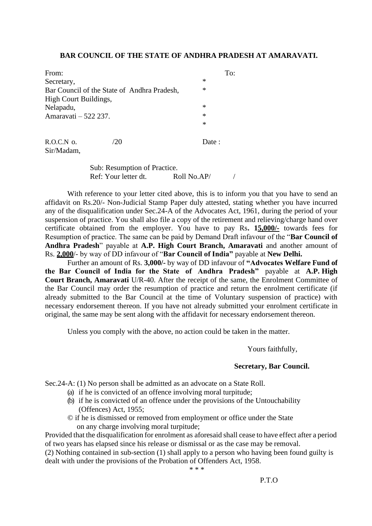## **BAR COUNCIL OF THE STATE OF ANDHRA PRADESH AT AMARAVATI.**

| From:                                       |  | To:   |
|---------------------------------------------|--|-------|
| Secretary,                                  |  | ∗     |
| Bar Council of the State of Andhra Pradesh, |  | ∗     |
| High Court Buildings,                       |  |       |
| Nelapadu,                                   |  | ∗     |
| Amaravati - 522 237.                        |  | ∗     |
|                                             |  | ∗     |
|                                             |  |       |
| R.O.C.N o.                                  |  | Date: |

Sir/Madam,

Sub: Resumption of Practice. Ref: Your letter dt. Roll No.AP/ /

With reference to your letter cited above, this is to inform you that you have to send an affidavit on Rs.20/- Non-Judicial Stamp Paper duly attested, stating whether you have incurred any of the disqualification under Sec.24-A of the Advocates Act, 1961, during the period of your suspension of practice. You shall also file a copy of the retirement and relieving/charge hand over certificate obtained from the employer. You have to pay Rs**. 15,000/-** towards fees for Resumption of practice. The same can be paid by Demand Draft infavour of the "**Bar Council of Andhra Pradesh**" payable at **A.P. High Court Branch, Amaravati** and another amount of Rs. **2,000**/- by way of DD infavour of "**Bar Council of India"** payable at **New Delhi.**

Further an amount of Rs. **3,000/-** by way of DD infavour of **"Advocates Welfare Fund of the Bar Council of India for the State of Andhra Pradesh"** payable at **A.P. High Court Branch, Amaravati** U/R-40. After the receipt of the same, the Enrolment Committee of the Bar Council may order the resumption of practice and return the enrolment certificate (if already submitted to the Bar Council at the time of Voluntary suspension of practice) with necessary endorsement thereon. If you have not already submitted your enrolment certificate in original, the same may be sent along with the affidavit for necessary endorsement thereon.

Unless you comply with the above, no action could be taken in the matter.

Yours faithfully,

## **Secretary, Bar Council.**

Sec.24-A: (1) No person shall be admitted as an advocate on a State Roll.

- (a) if he is convicted of an offence involving moral turpitude;
- (b) if he is convicted of an offence under the provisions of the Untouchability (Offences) Act, 1955;
- © if he is dismissed or removed from employment or office under the State on any charge involving moral turpitude;

Provided that the disqualification for enrolment as aforesaid shall cease to have effect after a period of two years has elapsed since his release or dismissal or as the case may be removal.

(2) Nothing contained in sub-section (1) shall apply to a person who having been found guilty is dealt with under the provisions of the Probation of Offenders Act, 1958.